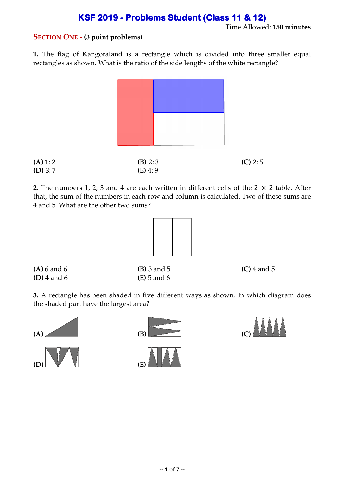### Time Allowed: **150 minutes**

#### **SECTION ONE - (3 point problems)**

**1.** The flag of Kangoraland is a rectangle which is divided into three smaller equal rectangles as shown. What is the ratio of the side lengths of the white rectangle?



| (A) 1: 2  | $(B)$ 2:3 | $(C)$ 2:5 |
|-----------|-----------|-----------|
| $(D)$ 3:7 | $(E)$ 4:9 |           |

**2.** The numbers 1, 2, 3 and 4 are each written in different cells of the  $2 \times 2$  table. After that, the sum of the numbers in each row and column is calculated. Two of these sums are 4 and 5. What are the other two sums?



**(D)** 4 and 6 **(E)** 5 and 6

**(A)** 6 and 6 **(B)** 3 and 5 **(C)** 4 and 5

**3.** A rectangle has been shaded in five different ways as shown. In which diagram does the shaded part have the largest area?





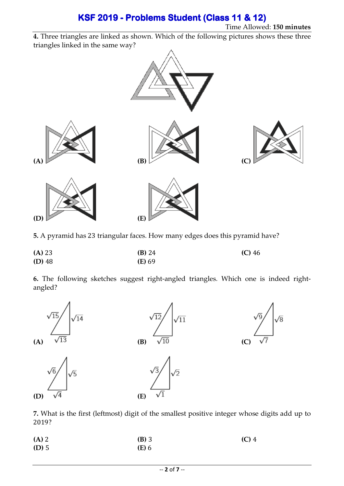Time Allowed: **150 minutes**

**4.** Three triangles are linked as shown. Which of the following pictures shows these three triangles linked in the same way?



**5.** A pyramid has 23 triangular faces. How many edges does this pyramid have?

| (A) 23   | $(B)$ 24 | $(C)$ 46 |
|----------|----------|----------|
| $(D)$ 48 | (E) 69   |          |

**6.** The following sketches suggest right-angled triangles. Which one is indeed rightangled?



**7.** What is the first (leftmost) digit of the smallest positive integer whose digits add up to 2019?

| $(A)$ 2 | $(B)$ 3      | $(C)$ 4 |
|---------|--------------|---------|
| $(D)$ 5 | <b>(E)</b> 6 |         |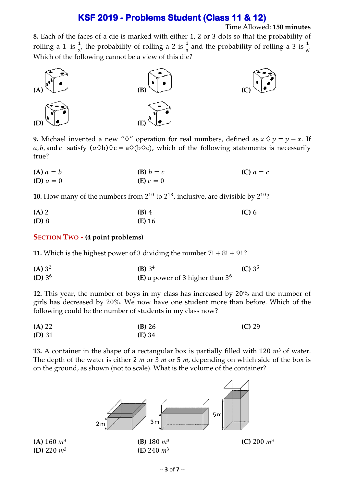#### Time Allowed: **150 minutes**

**8.** Each of the faces of a die is marked with either 1, 2 or 3 dots so that the probability of rolling a 1 is  $\frac{1}{2}$ , the probability of rolling a 2 is  $\frac{1}{3}$  and the probability of rolling a 3 is  $\frac{1}{6}$ .  $2^{7}$  1  $2^{7}$  3 Which of the following cannot be a view of this die?



**9.** Michael invented a new " $\Diamond$ " operation for real numbers, defined as  $x \Diamond y = y - x$ . If a, b, and c satisfy  $(a \Diamond b) \Diamond c = a \Diamond (b \Diamond c)$ , which of the following statements is necessarily true?

| $(A) a = b$ | $(B) b = c$          | $(C)$ $a = c$ |
|-------------|----------------------|---------------|
| (D) $a = 0$ | ( <b>E</b> ) $c = 0$ |               |

**10.** How many of the numbers from  $2^{10}$  to  $2^{13}$ , inclusive, are divisible by  $2^{10}$ ?

| $(A)$ 2 | $(B)$ 4         | $(C)$ 6 |
|---------|-----------------|---------|
| (D) 8   | ( <b>E</b> ) 16 |         |

#### **SECTION TWO - (4 point problems)**

**11.** Which is the highest power of 3 dividing the number  $7! + 8! + 9!$ ?

| $(A) 3^2$ | (B) $3^4$                          | (C) 3 <sup>5</sup> |
|-----------|------------------------------------|--------------------|
| (D) $3^6$ | (E) a power of 3 higher than $3^6$ |                    |

**12.** This year, the number of boys in my class has increased by 20% and the number of girls has decreased by 20%. We now have one student more than before. Which of the following could be the number of students in my class now?

| (A) 22   | $(B)$ 26 | $(C)$ 29 |
|----------|----------|----------|
| $(D)$ 31 | (E) 34   |          |

**13.** A container in the shape of a rectangular box is partially filled with 120 *m*<sup>3</sup> of water. The depth of the water is either 2 *m* or 3 *m* or 5 *m*, depending on which side of the box is on the ground, as shown (not to scale). What is the volume of the container?

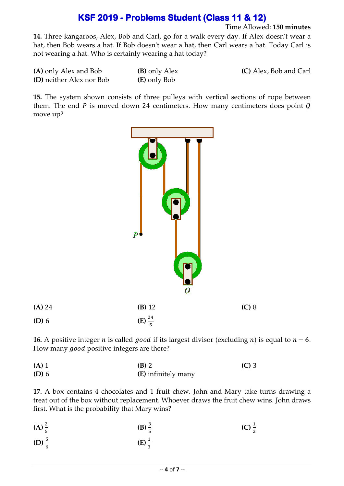Time Allowed: **150 minutes**

**14.** Three kangaroos, Alex, Bob and Carl, go for a walk every day. If Alex doesn't wear a hat, then Bob wears a hat. If Bob doesn't wear a hat, then Carl wears a hat. Today Carl is not wearing a hat. Who is certainly wearing a hat today?

| (A) only Alex and Bob    | <b>(B)</b> only Alex |
|--------------------------|----------------------|
| (D) neither Alex nor Bob | (E) only Bob         |

**(C)** Alex, Bob and Carl

**15.** The system shown consists of three pulleys with vertical sections of rope between them. The end  $P$  is moved down 24 centimeters. How many centimeters does point  $Q$ move up?



**16.** A positive integer *n* is called *good* if its largest divisor (excluding *n*) is equal to  $n - 6$ . How many good positive integers are there?

**(A)** 1 **(B)** 2 **(C)** 3 **(D)** 6 **(E)** infinitely many

**17.** A box contains 4 chocolates and 1 fruit chew. John and Mary take turns drawing a treat out of the box without replacement. Whoever draws the fruit chew wins. John draws first. What is the probability that Mary wins?

| (A) $\frac{2}{5}$ | (B) $\frac{3}{7}$ | (C) $\frac{1}{2}$ |
|-------------------|-------------------|-------------------|
| (D) $\frac{5}{6}$ | $(E) \frac{1}{2}$ |                   |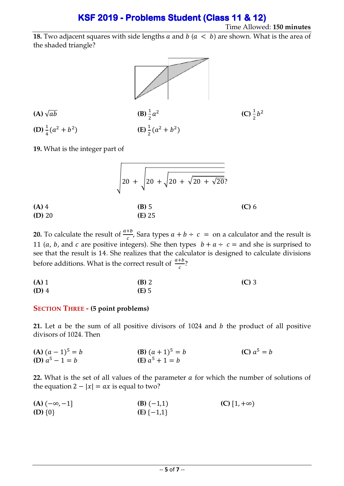#### Time Allowed: **150 minutes**

**18.** Two adjacent squares with side lengths  $a$  and  $b$  ( $a < b$ ) are shown. What is the area of the shaded triangle?



 $(A)$   $\sqrt{ab}$  $rac{1}{2}a^2$ **(C)** $\frac{1}{2}b^2$ **(D)**  $\frac{1}{4}(a^2 + b^2)$ (E)  $\frac{1}{2}(a^2 + b^2)$ 

**19.** What is the integer part of

|                     | $20 + \sqrt{20 + \sqrt{20 + \sqrt{20 + \sqrt{20}}}$ ? |         |
|---------------------|-------------------------------------------------------|---------|
| $(A)$ 4<br>$(D)$ 20 | $(B)$ 5<br>$(E)$ 25                                   | $(C)$ 6 |

**20.** To calculate the result of  $\frac{a+b}{c}$ , Sara types  $a + b \div c = 0$  a calculator and the result is 11 (*a*, *b*, and *c* are positive integers). She then types  $b + a \div c =$  and she is surprised to see that the result is 14. She realizes that the calculator is designed to calculate divisions before additions. What is the correct result of  $\frac{a+b}{c}$ ?

| $(A)$ 1 | <b>(B)</b> 2 | $(C)$ 3 |
|---------|--------------|---------|
| $(D)$ 4 | $(E)$ 5      |         |

#### **SECTION THREE - (5 point problems)**

**21.** Let  $a$  be the sum of all positive divisors of 1024 and  $b$  the product of all positive divisors of 1024. Then

**(A)**  $(a-1)^5 = b$  **(B)**  $(a+1)^5 = b$  $(C) a^5 = b$ **(D)**  $a^5 - 1 = b$  **(E)**  $a$ (**F**)  $a^5 + 1 = b$ 

22. What is the set of all values of the parameter  $a$  for which the number of solutions of the equation  $2 - |x| = ax$  is equal to two?

**(A)**  $(-∞, -1]$  **(B)**  $(-1,1)$  **(C)**  $[1, +∞)$ **(D)**  $\{0\}$  **(E)**  $\{-1,1\}$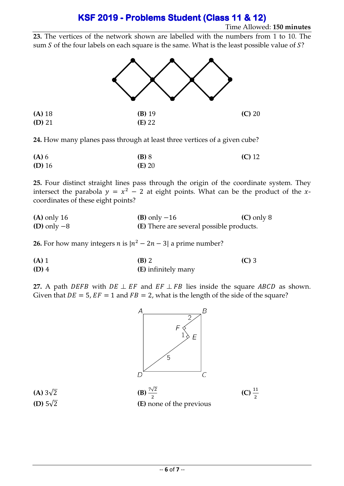#### Time Allowed: **150 minutes**

**23.** The vertices of the network shown are labelled with the numbers from 1 to 10. The sum  $S$  of the four labels on each square is the same. What is the least possible value of  $S$ ?



**24.** How many planes pass through at least three vertices of a given cube?

| $(A)$ 6  | $(B)$ 8  | $(C)$ 12 |
|----------|----------|----------|
| $(D)$ 16 | $(E)$ 20 |          |

**25.** Four distinct straight lines pass through the origin of the coordinate system. They intersect the parabola  $y = x^2 - 2$  at eight points. What can be the product of the xcoordinates of these eight points?

| $(A)$ only 16 | (B) only $-16$                                  | $(C)$ only 8 |
|---------------|-------------------------------------------------|--------------|
| (D) only $-8$ | <b>(E)</b> There are several possible products. |              |

**26.** For how many integers  $n$  is  $|n^2 - 2n - 3|$  a prime number?

| $(A)$ 1 | <b>(B)</b> 2               | $(C)$ 3 |
|---------|----------------------------|---------|
| $(D)$ 4 | <b>(E)</b> infinitely many |         |

**27.** A path *DEFB* with  $DE \perp EF$  and  $EF \perp FB$  lies inside the square ABCD as shown. Given that  $DE = 5$ ,  $EF = 1$  and  $FB = 2$ , what is the length of the side of the square?